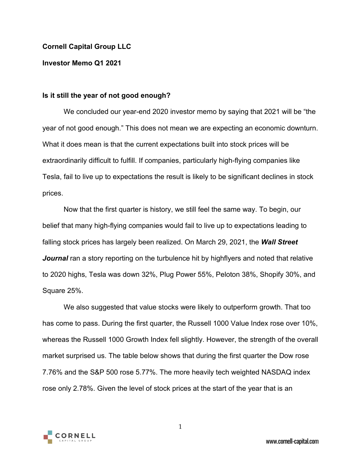### **Cornell Capital Group LLC**

### **Investor Memo Q1 2021**

### **Is it still the year of not good enough?**

We concluded our year-end 2020 investor memo by saying that 2021 will be "the year of not good enough." This does not mean we are expecting an economic downturn. What it does mean is that the current expectations built into stock prices will be extraordinarily difficult to fulfill. If companies, particularly high-flying companies like Tesla, fail to live up to expectations the result is likely to be significant declines in stock prices.

Now that the first quarter is history, we still feel the same way. To begin, our belief that many high-flying companies would fail to live up to expectations leading to falling stock prices has largely been realized. On March 29, 2021, the *Wall Street*  **Journal** ran a story reporting on the turbulence hit by highflyers and noted that relative to 2020 highs, Tesla was down 32%, Plug Power 55%, Peloton 38%, Shopify 30%, and Square 25%.

We also suggested that value stocks were likely to outperform growth. That too has come to pass. During the first quarter, the Russell 1000 Value Index rose over 10%, whereas the Russell 1000 Growth Index fell slightly. However, the strength of the overall market surprised us. The table below shows that during the first quarter the Dow rose 7.76% and the S&P 500 rose 5.77%. The more heavily tech weighted NASDAQ index rose only 2.78%. Given the level of stock prices at the start of the year that is an



1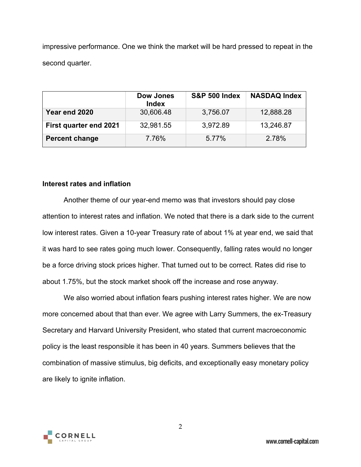impressive performance. One we think the market will be hard pressed to repeat in the second quarter.

|                               | Dow Jones<br><b>Index</b> | <b>S&amp;P 500 Index</b> | <b>NASDAQ Index</b> |
|-------------------------------|---------------------------|--------------------------|---------------------|
| Year end 2020                 | 30,606.48                 | 3,756.07                 | 12,888.28           |
| <b>First quarter end 2021</b> | 32,981.55                 | 3,972.89                 | 13,246.87           |
| <b>Percent change</b>         | 7.76%                     | 5.77%                    | 2.78%               |

### **Interest rates and inflation**

Another theme of our year-end memo was that investors should pay close attention to interest rates and inflation. We noted that there is a dark side to the current low interest rates. Given a 10-year Treasury rate of about 1% at year end, we said that it was hard to see rates going much lower. Consequently, falling rates would no longer be a force driving stock prices higher. That turned out to be correct. Rates did rise to about 1.75%, but the stock market shook off the increase and rose anyway.

We also worried about inflation fears pushing interest rates higher. We are now more concerned about that than ever. We agree with Larry Summers, the ex-Treasury Secretary and Harvard University President, who stated that current macroeconomic policy is the least responsible it has been in 40 years. Summers believes that the combination of massive stimulus, big deficits, and exceptionally easy monetary policy are likely to ignite inflation.



2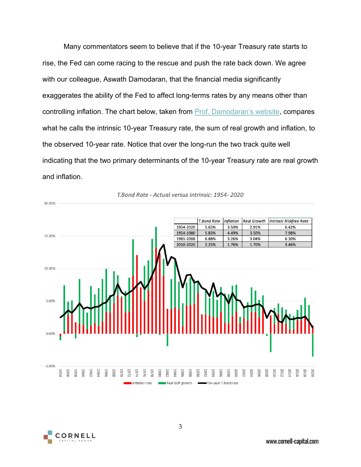Many commentators seem to believe that if the 10-year Treasury rate starts to rise, the Fed can come racing to the rescue and push the rate back down. We agree with our colleague, Aswath Damodaran, that the financial media significantly exaggerates the ability of the Fed to affect long-terms rates by any means other than controlling inflation. The chart below, taken from [Prof. Damodaran's website,](http://aswathdamodaran.blogspot.com/) compares what he calls the intrinsic 10-year Treasury rate, the sum of real growth and inflation, to the observed 10-year rate. Notice that over the long-run the two track quite well indicating that the two primary determinants of the 10-year Treasury rate are real growth and inflation.



#### T.Bond Rate - Actual versus Intrinsic: 1954-2020

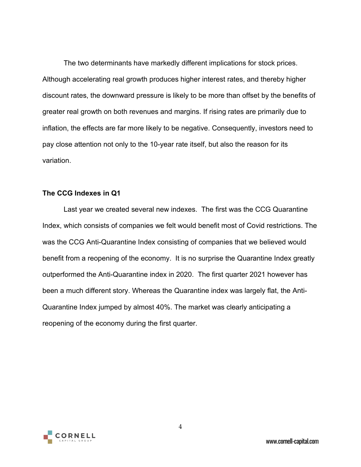The two determinants have markedly different implications for stock prices. Although accelerating real growth produces higher interest rates, and thereby higher discount rates, the downward pressure is likely to be more than offset by the benefits of greater real growth on both revenues and margins. If rising rates are primarily due to inflation, the effects are far more likely to be negative. Consequently, investors need to pay close attention not only to the 10-year rate itself, but also the reason for its variation.

## **The CCG Indexes in Q1**

Last year we created several new indexes. The first was the CCG Quarantine Index, which consists of companies we felt would benefit most of Covid restrictions. The was the CCG Anti-Quarantine Index consisting of companies that we believed would benefit from a reopening of the economy. It is no surprise the Quarantine Index greatly outperformed the Anti-Quarantine index in 2020. The first quarter 2021 however has been a much different story. Whereas the Quarantine index was largely flat, the Anti-Quarantine Index jumped by almost 40%. The market was clearly anticipating a reopening of the economy during the first quarter.

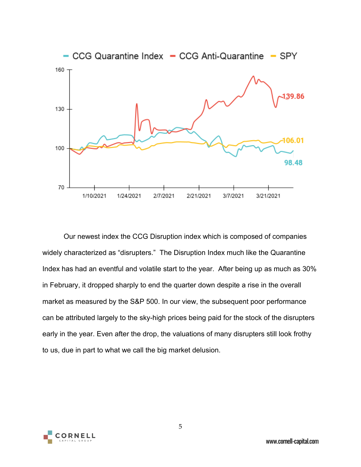

Our newest index the CCG Disruption index which is composed of companies widely characterized as "disrupters." The Disruption Index much like the Quarantine Index has had an eventful and volatile start to the year. After being up as much as 30% in February, it dropped sharply to end the quarter down despite a rise in the overall market as measured by the S&P 500. In our view, the subsequent poor performance can be attributed largely to the sky-high prices being paid for the stock of the disrupters early in the year. Even after the drop, the valuations of many disrupters still look frothy to us, due in part to what we call the big market delusion.



5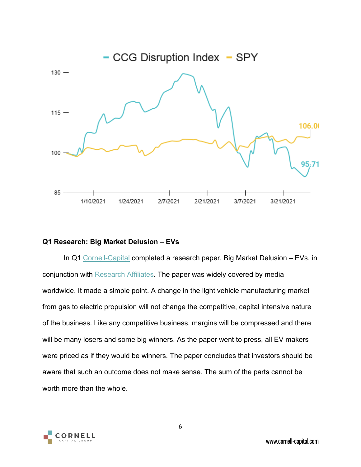

## **Q1 Research: Big Market Delusion – EVs**

In Q1 [Cornell-Capital](https://www.cornell-capital.com/) completed a research paper, Big Market Delusion – EVs, in conjunction with [Research Affiliates.](https://www.researchaffiliates.com/en_us/home.html) The paper was widely covered by media worldwide. It made a simple point. A change in the light vehicle manufacturing market from gas to electric propulsion will not change the competitive, capital intensive nature of the business. Like any competitive business, margins will be compressed and there will be many losers and some big winners. As the paper went to press, all EV makers were priced as if they would be winners. The paper concludes that investors should be aware that such an outcome does not make sense. The sum of the parts cannot be worth more than the whole.